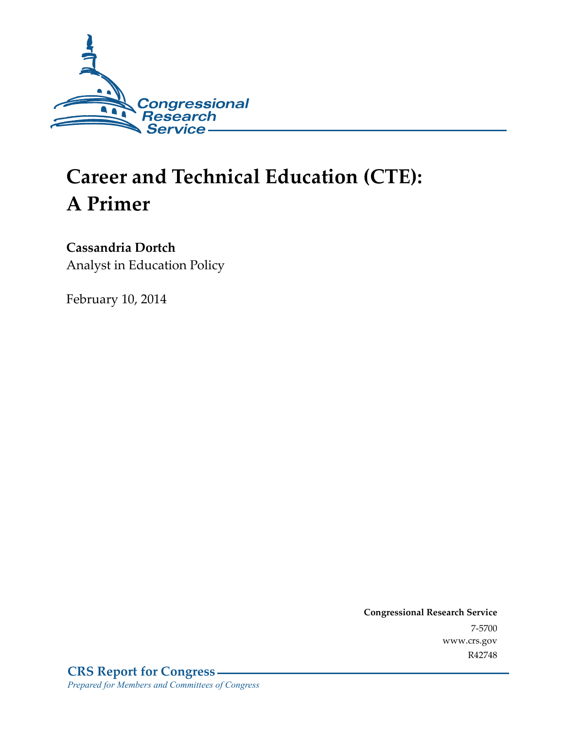

# **Career and Technical Education (CTE): A Primer**

### **Cassandria Dortch**

Analyst in Education Policy

February 10, 2014

**Congressional Research Service**  7-5700 www.crs.gov R42748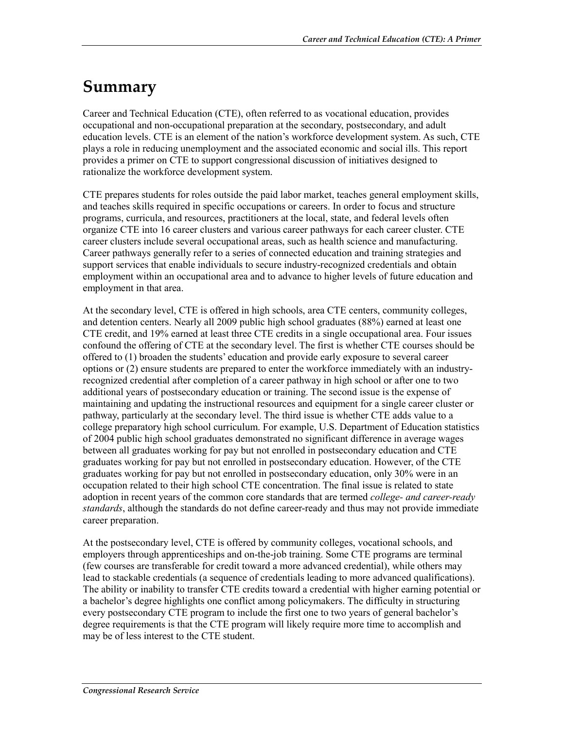## **Summary**

Career and Technical Education (CTE), often referred to as vocational education, provides occupational and non-occupational preparation at the secondary, postsecondary, and adult education levels. CTE is an element of the nation's workforce development system. As such, CTE plays a role in reducing unemployment and the associated economic and social ills. This report provides a primer on CTE to support congressional discussion of initiatives designed to rationalize the workforce development system.

CTE prepares students for roles outside the paid labor market, teaches general employment skills, and teaches skills required in specific occupations or careers. In order to focus and structure programs, curricula, and resources, practitioners at the local, state, and federal levels often organize CTE into 16 career clusters and various career pathways for each career cluster. CTE career clusters include several occupational areas, such as health science and manufacturing. Career pathways generally refer to a series of connected education and training strategies and support services that enable individuals to secure industry-recognized credentials and obtain employment within an occupational area and to advance to higher levels of future education and employment in that area.

At the secondary level, CTE is offered in high schools, area CTE centers, community colleges, and detention centers. Nearly all 2009 public high school graduates (88%) earned at least one CTE credit, and 19% earned at least three CTE credits in a single occupational area. Four issues confound the offering of CTE at the secondary level. The first is whether CTE courses should be offered to (1) broaden the students' education and provide early exposure to several career options or (2) ensure students are prepared to enter the workforce immediately with an industryrecognized credential after completion of a career pathway in high school or after one to two additional years of postsecondary education or training. The second issue is the expense of maintaining and updating the instructional resources and equipment for a single career cluster or pathway, particularly at the secondary level. The third issue is whether CTE adds value to a college preparatory high school curriculum. For example, U.S. Department of Education statistics of 2004 public high school graduates demonstrated no significant difference in average wages between all graduates working for pay but not enrolled in postsecondary education and CTE graduates working for pay but not enrolled in postsecondary education. However, of the CTE graduates working for pay but not enrolled in postsecondary education, only 30% were in an occupation related to their high school CTE concentration. The final issue is related to state adoption in recent years of the common core standards that are termed *college- and career-ready standards*, although the standards do not define career-ready and thus may not provide immediate career preparation.

At the postsecondary level, CTE is offered by community colleges, vocational schools, and employers through apprenticeships and on-the-job training. Some CTE programs are terminal (few courses are transferable for credit toward a more advanced credential), while others may lead to stackable credentials (a sequence of credentials leading to more advanced qualifications). The ability or inability to transfer CTE credits toward a credential with higher earning potential or a bachelor's degree highlights one conflict among policymakers. The difficulty in structuring every postsecondary CTE program to include the first one to two years of general bachelor's degree requirements is that the CTE program will likely require more time to accomplish and may be of less interest to the CTE student.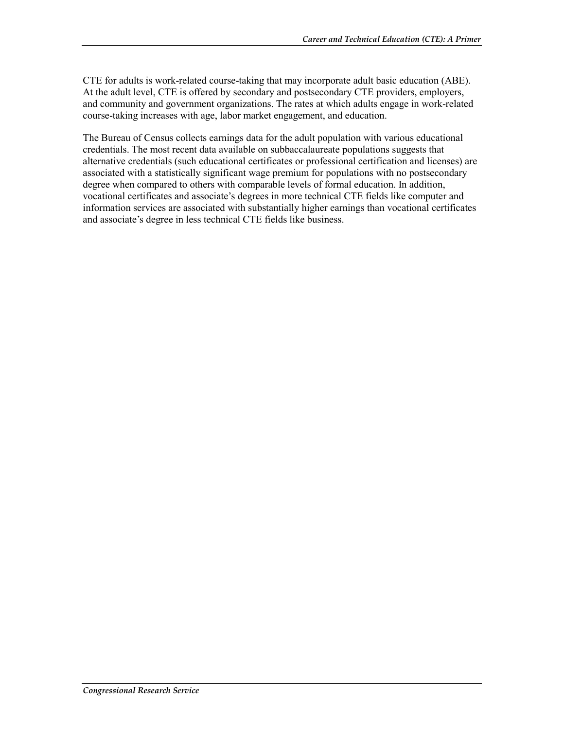CTE for adults is work-related course-taking that may incorporate adult basic education (ABE). At the adult level, CTE is offered by secondary and postsecondary CTE providers, employers, and community and government organizations. The rates at which adults engage in work-related course-taking increases with age, labor market engagement, and education.

The Bureau of Census collects earnings data for the adult population with various educational credentials. The most recent data available on subbaccalaureate populations suggests that alternative credentials (such educational certificates or professional certification and licenses) are associated with a statistically significant wage premium for populations with no postsecondary degree when compared to others with comparable levels of formal education. In addition, vocational certificates and associate's degrees in more technical CTE fields like computer and information services are associated with substantially higher earnings than vocational certificates and associate's degree in less technical CTE fields like business.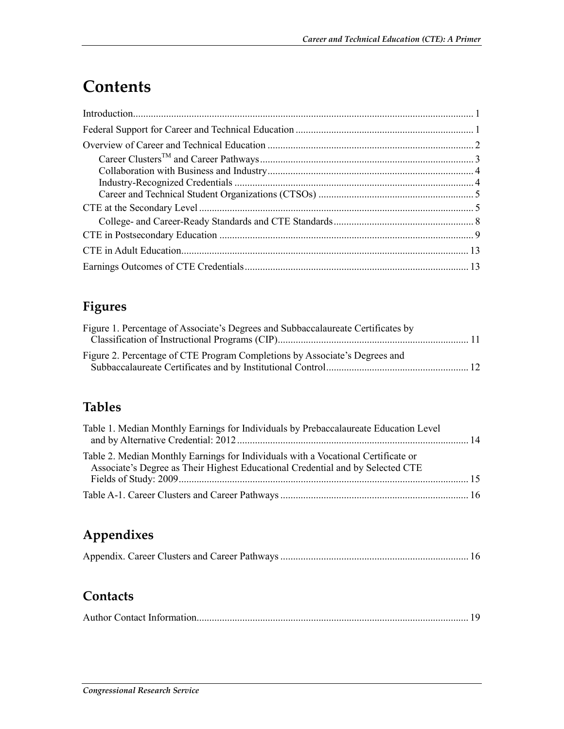## **Contents**

### **Figures**

| Figure 1. Percentage of Associate's Degrees and Subbaccalaureate Certificates by |  |
|----------------------------------------------------------------------------------|--|
|                                                                                  |  |
| Figure 2. Percentage of CTE Program Completions by Associate's Degrees and       |  |

### **Tables**

| Table 1. Median Monthly Earnings for Individuals by Prebaccalaureate Education Level                                                                                |  |
|---------------------------------------------------------------------------------------------------------------------------------------------------------------------|--|
| Table 2. Median Monthly Earnings for Individuals with a Vocational Certificate or<br>Associate's Degree as Their Highest Educational Credential and by Selected CTE |  |
|                                                                                                                                                                     |  |
|                                                                                                                                                                     |  |

### **Appendixes**

|--|--|--|--|

### **Contacts**

|--|--|--|--|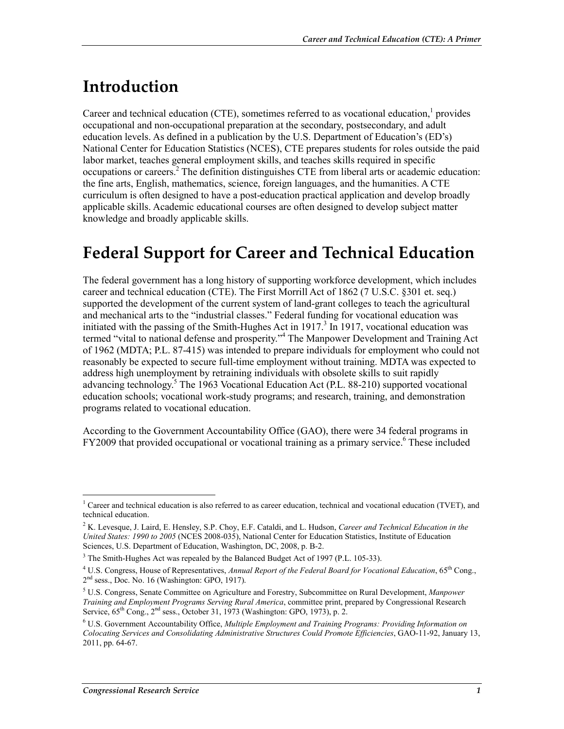## **Introduction**

Career and technical education (CTE), sometimes referred to as vocational education,<sup>1</sup> provides occupational and non-occupational preparation at the secondary, postsecondary, and adult education levels. As defined in a publication by the U.S. Department of Education's (ED's) National Center for Education Statistics (NCES), CTE prepares students for roles outside the paid labor market, teaches general employment skills, and teaches skills required in specific occupations or careers.<sup>2</sup> The definition distinguishes CTE from liberal arts or academic education: the fine arts, English, mathematics, science, foreign languages, and the humanities. A CTE curriculum is often designed to have a post-education practical application and develop broadly applicable skills. Academic educational courses are often designed to develop subject matter knowledge and broadly applicable skills.

### **Federal Support for Career and Technical Education**

The federal government has a long history of supporting workforce development, which includes career and technical education (CTE). The First Morrill Act of 1862 (7 U.S.C. §301 et. seq.) supported the development of the current system of land-grant colleges to teach the agricultural and mechanical arts to the "industrial classes." Federal funding for vocational education was initiated with the passing of the Smith-Hughes Act in  $1917<sup>3</sup>$  In 1917, vocational education was termed "vital to national defense and prosperity."4 The Manpower Development and Training Act of 1962 (MDTA; P.L. 87-415) was intended to prepare individuals for employment who could not reasonably be expected to secure full-time employment without training. MDTA was expected to address high unemployment by retraining individuals with obsolete skills to suit rapidly advancing technology.<sup>5</sup> The 1963 Vocational Education Act (P.L. 88-210) supported vocational education schools; vocational work-study programs; and research, training, and demonstration programs related to vocational education.

According to the Government Accountability Office (GAO), there were 34 federal programs in FY2009 that provided occupational or vocational training as a primary service.<sup>6</sup> These included

<u>.</u>

<sup>&</sup>lt;sup>1</sup> Career and technical education is also referred to as career education, technical and vocational education (TVET), and technical education.

<sup>2</sup> K. Levesque, J. Laird, E. Hensley, S.P. Choy, E.F. Cataldi, and L. Hudson, *Career and Technical Education in the United States: 1990 to 2005* (NCES 2008-035), National Center for Education Statistics, Institute of Education Sciences, U.S. Department of Education, Washington, DC, 2008, p. B-2.

 $3$  The Smith-Hughes Act was repealed by the Balanced Budget Act of 1997 (P.L. 105-33).

<sup>&</sup>lt;sup>4</sup> U.S. Congress, House of Representatives, *Annual Report of the Federal Board for Vocational Education*, 65<sup>th</sup> Cong.,  $2<sup>nd</sup>$  sess., Doc. No. 16 (Washington: GPO, 1917).

<sup>5</sup> U.S. Congress, Senate Committee on Agriculture and Forestry, Subcommittee on Rural Development, *Manpower Training and Employment Programs Serving Rural America*, committee print, prepared by Congressional Research Service,  $65^{th}$  Cong.,  $2^{nd}$  sess., October 31, 1973 (Washington: GPO, 1973), p. 2.

<sup>6</sup> U.S. Government Accountability Office, *Multiple Employment and Training Programs: Providing Information on Colocating Services and Consolidating Administrative Structures Could Promote Efficiencies*, GAO-11-92, January 13, 2011, pp. 64-67.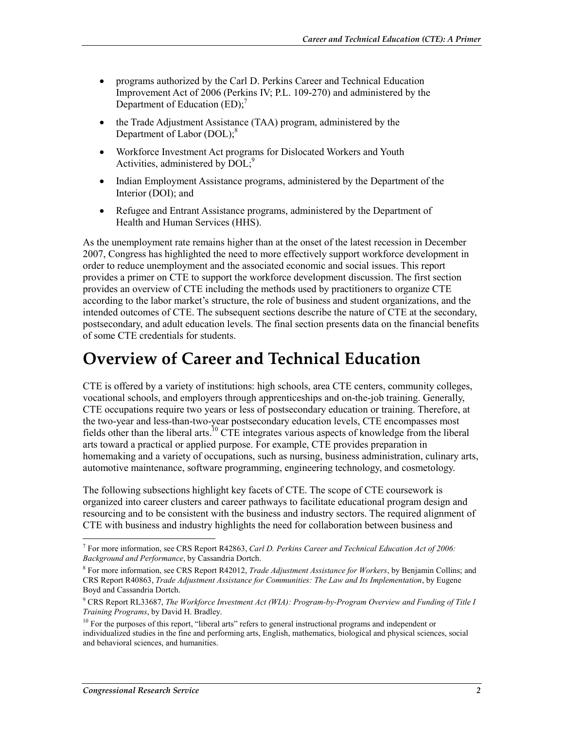- programs authorized by the Carl D. Perkins Career and Technical Education Improvement Act of 2006 (Perkins IV; P.L. 109-270) and administered by the Department of Education  $(ED)$ ;<sup>7</sup>
- the Trade Adjustment Assistance (TAA) program, administered by the Department of Labor  $(DOL)$ ;<sup>8</sup>
- Workforce Investment Act programs for Dislocated Workers and Youth Activities, administered by  $DOL;^{9}$
- Indian Employment Assistance programs, administered by the Department of the Interior (DOI); and
- Refugee and Entrant Assistance programs, administered by the Department of Health and Human Services (HHS).

As the unemployment rate remains higher than at the onset of the latest recession in December 2007, Congress has highlighted the need to more effectively support workforce development in order to reduce unemployment and the associated economic and social issues. This report provides a primer on CTE to support the workforce development discussion. The first section provides an overview of CTE including the methods used by practitioners to organize CTE according to the labor market's structure, the role of business and student organizations, and the intended outcomes of CTE. The subsequent sections describe the nature of CTE at the secondary, postsecondary, and adult education levels. The final section presents data on the financial benefits of some CTE credentials for students.

### **Overview of Career and Technical Education**

CTE is offered by a variety of institutions: high schools, area CTE centers, community colleges, vocational schools, and employers through apprenticeships and on-the-job training. Generally, CTE occupations require two years or less of postsecondary education or training. Therefore, at the two-year and less-than-two-year postsecondary education levels, CTE encompasses most fields other than the liberal arts.10 CTE integrates various aspects of knowledge from the liberal arts toward a practical or applied purpose. For example, CTE provides preparation in homemaking and a variety of occupations, such as nursing, business administration, culinary arts, automotive maintenance, software programming, engineering technology, and cosmetology.

The following subsections highlight key facets of CTE. The scope of CTE coursework is organized into career clusters and career pathways to facilitate educational program design and resourcing and to be consistent with the business and industry sectors. The required alignment of CTE with business and industry highlights the need for collaboration between business and

<sup>7</sup> For more information, see CRS Report R42863, *Carl D. Perkins Career and Technical Education Act of 2006: Background and Performance*, by Cassandria Dortch.

<sup>8</sup> For more information, see CRS Report R42012, *Trade Adjustment Assistance for Workers*, by Benjamin Collins; and CRS Report R40863, *Trade Adjustment Assistance for Communities: The Law and Its Implementation*, by Eugene Boyd and Cassandria Dortch.

<sup>9</sup> CRS Report RL33687, *The Workforce Investment Act (WIA): Program-by-Program Overview and Funding of Title I Training Programs*, by David H. Bradley.

<sup>&</sup>lt;sup>10</sup> For the purposes of this report, "liberal arts" refers to general instructional programs and independent or individualized studies in the fine and performing arts, English, mathematics, biological and physical sciences, social and behavioral sciences, and humanities.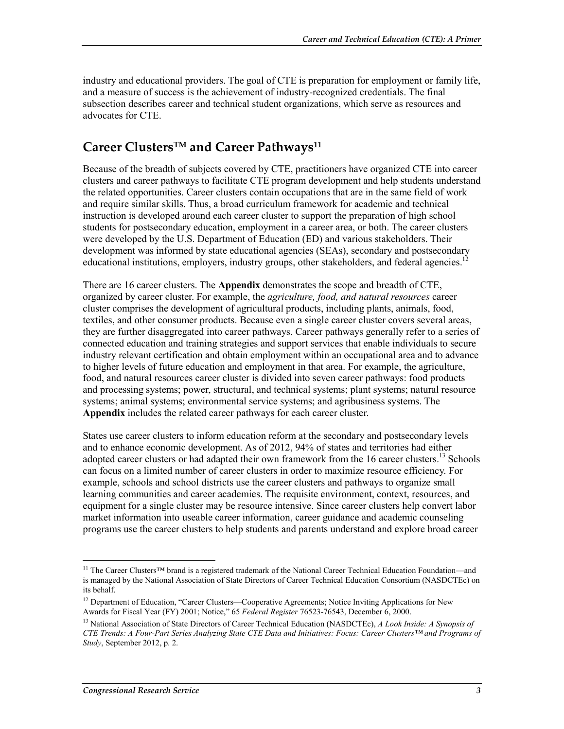industry and educational providers. The goal of CTE is preparation for employment or family life, and a measure of success is the achievement of industry-recognized credentials. The final subsection describes career and technical student organizations, which serve as resources and advocates for CTE.

#### **Career ClustersTM and Career Pathways11**

Because of the breadth of subjects covered by CTE, practitioners have organized CTE into career clusters and career pathways to facilitate CTE program development and help students understand the related opportunities. Career clusters contain occupations that are in the same field of work and require similar skills. Thus, a broad curriculum framework for academic and technical instruction is developed around each career cluster to support the preparation of high school students for postsecondary education, employment in a career area, or both. The career clusters were developed by the U.S. Department of Education (ED) and various stakeholders. Their development was informed by state educational agencies (SEAs), secondary and postsecondary educational institutions, employers, industry groups, other stakeholders, and federal agencies. $12$ 

There are 16 career clusters. The **Appendix** demonstrates the scope and breadth of CTE, organized by career cluster. For example, the *agriculture, food, and natural resources* career cluster comprises the development of agricultural products, including plants, animals, food, textiles, and other consumer products. Because even a single career cluster covers several areas, they are further disaggregated into career pathways. Career pathways generally refer to a series of connected education and training strategies and support services that enable individuals to secure industry relevant certification and obtain employment within an occupational area and to advance to higher levels of future education and employment in that area. For example, the agriculture, food, and natural resources career cluster is divided into seven career pathways: food products and processing systems; power, structural, and technical systems; plant systems; natural resource systems; animal systems; environmental service systems; and agribusiness systems. The **Appendix** includes the related career pathways for each career cluster.

States use career clusters to inform education reform at the secondary and postsecondary levels and to enhance economic development. As of 2012, 94% of states and territories had either adopted career clusters or had adapted their own framework from the 16 career clusters.<sup>13</sup> Schools can focus on a limited number of career clusters in order to maximize resource efficiency. For example, schools and school districts use the career clusters and pathways to organize small learning communities and career academies. The requisite environment, context, resources, and equipment for a single cluster may be resource intensive. Since career clusters help convert labor market information into useable career information, career guidance and academic counseling programs use the career clusters to help students and parents understand and explore broad career

<sup>&</sup>lt;sup>11</sup> The Career Clusters™ brand is a registered trademark of the National Career Technical Education Foundation—and is managed by the National Association of State Directors of Career Technical Education Consortium (NASDCTEc) on its behalf.

<sup>&</sup>lt;sup>12</sup> Department of Education, "Career Clusters—Cooperative Agreements; Notice Inviting Applications for New Awards for Fiscal Year (FY) 2001; Notice," 65 *Federal Register* 76523-76543, December 6, 2000.

<sup>13</sup> National Association of State Directors of Career Technical Education (NASDCTEc), *A Look Inside: A Synopsis of CTE Trends: A Four-Part Series Analyzing State CTE Data and Initiatives: Focus: Career Clusters™ and Programs of Study*, September 2012, p. 2.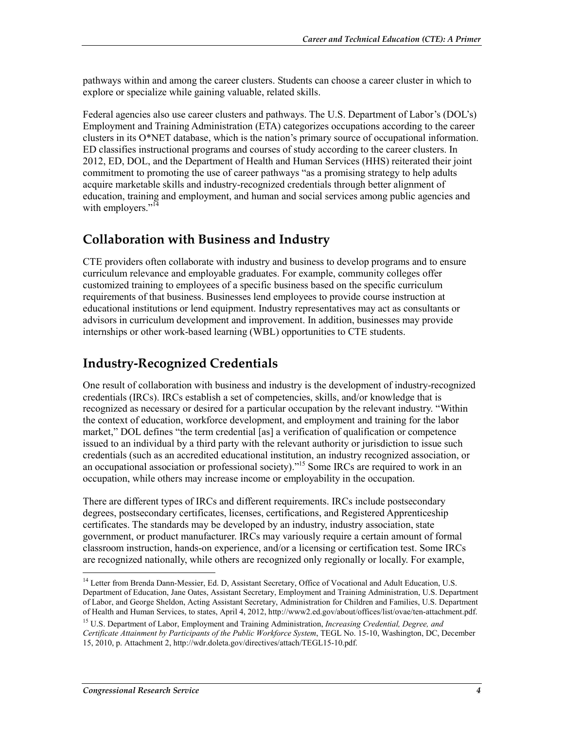pathways within and among the career clusters. Students can choose a career cluster in which to explore or specialize while gaining valuable, related skills.

Federal agencies also use career clusters and pathways. The U.S. Department of Labor's (DOL's) Employment and Training Administration (ETA) categorizes occupations according to the career clusters in its  $O^*NET$  database, which is the nation's primary source of occupational information. ED classifies instructional programs and courses of study according to the career clusters. In 2012, ED, DOL, and the Department of Health and Human Services (HHS) reiterated their joint commitment to promoting the use of career pathways "as a promising strategy to help adults acquire marketable skills and industry-recognized credentials through better alignment of education, training and employment, and human and social services among public agencies and with employers."<sup>14</sup>

#### **Collaboration with Business and Industry**

CTE providers often collaborate with industry and business to develop programs and to ensure curriculum relevance and employable graduates. For example, community colleges offer customized training to employees of a specific business based on the specific curriculum requirements of that business. Businesses lend employees to provide course instruction at educational institutions or lend equipment. Industry representatives may act as consultants or advisors in curriculum development and improvement. In addition, businesses may provide internships or other work-based learning (WBL) opportunities to CTE students.

### **Industry-Recognized Credentials**

One result of collaboration with business and industry is the development of industry-recognized credentials (IRCs). IRCs establish a set of competencies, skills, and/or knowledge that is recognized as necessary or desired for a particular occupation by the relevant industry. "Within the context of education, workforce development, and employment and training for the labor market," DOL defines "the term credential [as] a verification of qualification or competence issued to an individual by a third party with the relevant authority or jurisdiction to issue such credentials (such as an accredited educational institution, an industry recognized association, or an occupational association or professional society)."<sup>15</sup> Some IRCs are required to work in an occupation, while others may increase income or employability in the occupation.

There are different types of IRCs and different requirements. IRCs include postsecondary degrees, postsecondary certificates, licenses, certifications, and Registered Apprenticeship certificates. The standards may be developed by an industry, industry association, state government, or product manufacturer. IRCs may variously require a certain amount of formal classroom instruction, hands-on experience, and/or a licensing or certification test. Some IRCs are recognized nationally, while others are recognized only regionally or locally. For example,

<sup>&</sup>lt;sup>14</sup> Letter from Brenda Dann-Messier, Ed. D, Assistant Secretary, Office of Vocational and Adult Education, U.S. Department of Education, Jane Oates, Assistant Secretary, Employment and Training Administration, U.S. Department of Labor, and George Sheldon, Acting Assistant Secretary, Administration for Children and Families, U.S. Department of Health and Human Services, to states, April 4, 2012, http://www2.ed.gov/about/offices/list/ovae/ten-attachment.pdf.

<sup>15</sup> U.S. Department of Labor, Employment and Training Administration, *Increasing Credential, Degree, and Certificate Attainment by Participants of the Public Workforce System*, TEGL No. 15-10, Washington, DC, December 15, 2010, p. Attachment 2, http://wdr.doleta.gov/directives/attach/TEGL15-10.pdf.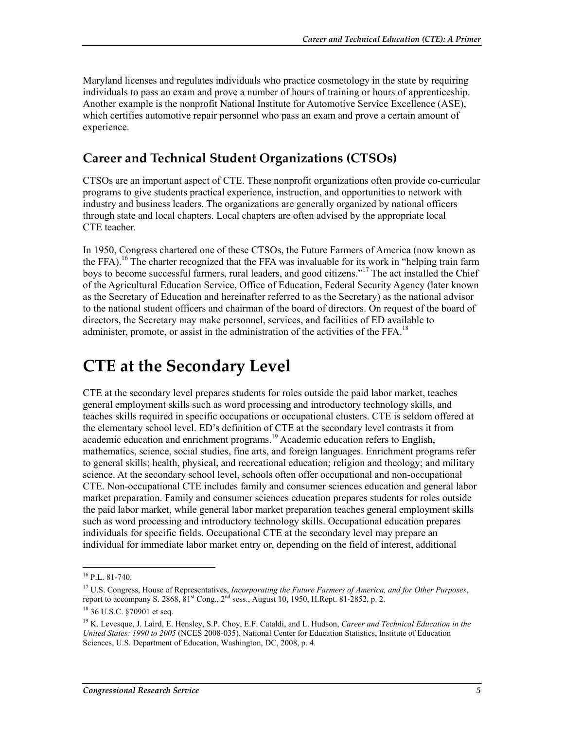Maryland licenses and regulates individuals who practice cosmetology in the state by requiring individuals to pass an exam and prove a number of hours of training or hours of apprenticeship. Another example is the nonprofit National Institute for Automotive Service Excellence (ASE), which certifies automotive repair personnel who pass an exam and prove a certain amount of experience.

#### **Career and Technical Student Organizations (CTSOs)**

CTSOs are an important aspect of CTE. These nonprofit organizations often provide co-curricular programs to give students practical experience, instruction, and opportunities to network with industry and business leaders. The organizations are generally organized by national officers through state and local chapters. Local chapters are often advised by the appropriate local CTE teacher.

In 1950, Congress chartered one of these CTSOs, the Future Farmers of America (now known as the FFA).<sup>16</sup> The charter recognized that the FFA was invaluable for its work in "helping train farm" boys to become successful farmers, rural leaders, and good citizens."<sup>17</sup> The act installed the Chief of the Agricultural Education Service, Office of Education, Federal Security Agency (later known as the Secretary of Education and hereinafter referred to as the Secretary) as the national advisor to the national student officers and chairman of the board of directors. On request of the board of directors, the Secretary may make personnel, services, and facilities of ED available to administer, promote, or assist in the administration of the activities of the FFA.<sup>18</sup>

### **CTE at the Secondary Level**

CTE at the secondary level prepares students for roles outside the paid labor market, teaches general employment skills such as word processing and introductory technology skills, and teaches skills required in specific occupations or occupational clusters. CTE is seldom offered at the elementary school level. ED's definition of CTE at the secondary level contrasts it from academic education and enrichment programs.<sup>19</sup> Academic education refers to English, mathematics, science, social studies, fine arts, and foreign languages. Enrichment programs refer to general skills; health, physical, and recreational education; religion and theology; and military science. At the secondary school level, schools often offer occupational and non-occupational CTE. Non-occupational CTE includes family and consumer sciences education and general labor market preparation. Family and consumer sciences education prepares students for roles outside the paid labor market, while general labor market preparation teaches general employment skills such as word processing and introductory technology skills. Occupational education prepares individuals for specific fields. Occupational CTE at the secondary level may prepare an individual for immediate labor market entry or, depending on the field of interest, additional

 $16$  P.L. 81-740.

<sup>17</sup> U.S. Congress, House of Representatives, *Incorporating the Future Farmers of America, and for Other Purposes*, report to accompany S. 2868,  $81^{st}$  Cong.,  $2^{nd}$  sess., August 10, 1950, H.Rept. 81-2852, p. 2.

<sup>18 36</sup> U.S.C. §70901 et seq.

<sup>19</sup> K. Levesque, J. Laird, E. Hensley, S.P. Choy, E.F. Cataldi, and L. Hudson, *Career and Technical Education in the United States: 1990 to 2005* (NCES 2008-035), National Center for Education Statistics, Institute of Education Sciences, U.S. Department of Education, Washington, DC, 2008, p. 4.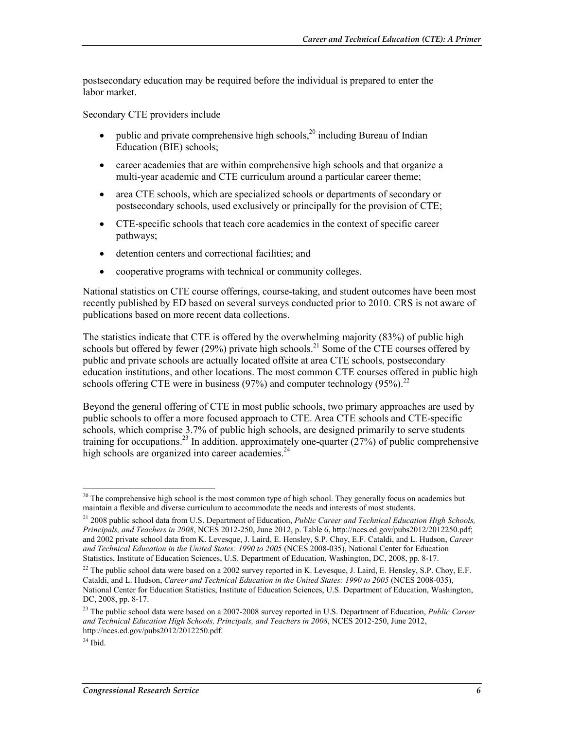postsecondary education may be required before the individual is prepared to enter the labor market.

Secondary CTE providers include

- public and private comprehensive high schools,<sup>20</sup> including Bureau of Indian Education (BIE) schools;
- career academies that are within comprehensive high schools and that organize a multi-year academic and CTE curriculum around a particular career theme;
- area CTE schools, which are specialized schools or departments of secondary or postsecondary schools, used exclusively or principally for the provision of CTE;
- CTE-specific schools that teach core academics in the context of specific career pathways;
- detention centers and correctional facilities; and
- cooperative programs with technical or community colleges.

National statistics on CTE course offerings, course-taking, and student outcomes have been most recently published by ED based on several surveys conducted prior to 2010. CRS is not aware of publications based on more recent data collections.

The statistics indicate that CTE is offered by the overwhelming majority (83%) of public high schools but offered by fewer (29%) private high schools.<sup>21</sup> Some of the CTE courses offered by public and private schools are actually located offsite at area CTE schools, postsecondary education institutions, and other locations. The most common CTE courses offered in public high schools offering CTE were in business (97%) and computer technology (95%).<sup>22</sup>

Beyond the general offering of CTE in most public schools, two primary approaches are used by public schools to offer a more focused approach to CTE. Area CTE schools and CTE-specific schools, which comprise 3.7% of public high schools, are designed primarily to serve students training for occupations.<sup>23</sup> In addition, approximately one-quarter ( $27\%$ ) of public comprehensive high schools are organized into career academies.<sup>24</sup>

 $^{20}$  The comprehensive high school is the most common type of high school. They generally focus on academics but maintain a flexible and diverse curriculum to accommodate the needs and interests of most students.

<sup>21 2008</sup> public school data from U.S. Department of Education, *Public Career and Technical Education High Schools, Principals, and Teachers in 2008*, NCES 2012-250, June 2012, p. Table 6, http://nces.ed.gov/pubs2012/2012250.pdf; and 2002 private school data from K. Levesque, J. Laird, E. Hensley, S.P. Choy, E.F. Cataldi, and L. Hudson, *Career and Technical Education in the United States: 1990 to 2005* (NCES 2008-035), National Center for Education Statistics, Institute of Education Sciences, U.S. Department of Education, Washington, DC, 2008, pp. 8-17.

<sup>&</sup>lt;sup>22</sup> The public school data were based on a 2002 survey reported in K. Levesque, J. Laird, E. Hensley, S.P. Choy, E.F. Cataldi, and L. Hudson, *Career and Technical Education in the United States: 1990 to 2005* (NCES 2008-035), National Center for Education Statistics, Institute of Education Sciences, U.S. Department of Education, Washington, DC, 2008, pp. 8-17.

<sup>23</sup> The public school data were based on a 2007-2008 survey reported in U.S. Department of Education, *Public Career and Technical Education High Schools, Principals, and Teachers in 2008*, NCES 2012-250, June 2012, http://nces.ed.gov/pubs2012/2012250.pdf.

 $24$  Ibid.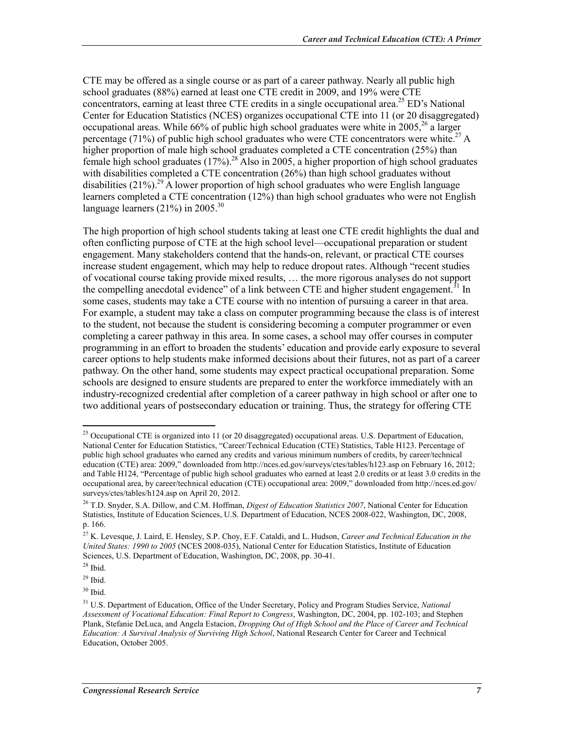CTE may be offered as a single course or as part of a career pathway. Nearly all public high school graduates (88%) earned at least one CTE credit in 2009, and 19% were CTE concentrators, earning at least three CTE credits in a single occupational area.<sup>25</sup> ED's National Center for Education Statistics (NCES) organizes occupational CTE into 11 (or 20 disaggregated) occupational areas. While 66% of public high school graduates were white in  $2005$ <sup>26</sup> a larger percentage (71%) of public high school graduates who were CTE concentrators were white.<sup>27</sup> A higher proportion of male high school graduates completed a CTE concentration (25%) than female high school graduates  $(17\%)$ .<sup>28</sup> Also in 2005, a higher proportion of high school graduates with disabilities completed a CTE concentration (26%) than high school graduates without disabilities (21%).<sup>29</sup> A lower proportion of high school graduates who were English language learners completed a CTE concentration (12%) than high school graduates who were not English language learners  $(21\%)$  in 2005.<sup>30</sup>

The high proportion of high school students taking at least one CTE credit highlights the dual and often conflicting purpose of CTE at the high school level—occupational preparation or student engagement. Many stakeholders contend that the hands-on, relevant, or practical CTE courses increase student engagement, which may help to reduce dropout rates. Although "recent studies" of vocational course taking provide mixed results, … the more rigorous analyses do not support the compelling anecdotal evidence" of a link between CTE and higher student engagement.  $31$  In some cases, students may take a CTE course with no intention of pursuing a career in that area. For example, a student may take a class on computer programming because the class is of interest to the student, not because the student is considering becoming a computer programmer or even completing a career pathway in this area. In some cases, a school may offer courses in computer programming in an effort to broaden the students' education and provide early exposure to several career options to help students make informed decisions about their futures, not as part of a career pathway. On the other hand, some students may expect practical occupational preparation. Some schools are designed to ensure students are prepared to enter the workforce immediately with an industry-recognized credential after completion of a career pathway in high school or after one to two additional years of postsecondary education or training. Thus, the strategy for offering CTE

<u>.</u>

30 Ibid.

<sup>&</sup>lt;sup>25</sup> Occupational CTE is organized into 11 (or 20 disaggregated) occupational areas. U.S. Department of Education, National Center for Education Statistics, "Career/Technical Education (CTE) Statistics, Table H123. Percentage of public high school graduates who earned any credits and various minimum numbers of credits, by career/technical education (CTE) area: 2009," downloaded from http://nces.ed.gov/surveys/ctes/tables/h123.asp on February 16, 2012; and Table H124, "Percentage of public high school graduates who earned at least 2.0 credits or at least 3.0 credits in the occupational area, by career/technical education (CTE) occupational area: 2009," downloaded from http://nces.ed.gov/ surveys/ctes/tables/h124.asp on April 20, 2012.

<sup>26</sup> T.D. Snyder, S.A. Dillow, and C.M. Hoffman, *Digest of Education Statistics 2007*, National Center for Education Statistics, Institute of Education Sciences, U.S. Department of Education, NCES 2008-022, Washington, DC, 2008, p. 166.

<sup>27</sup> K. Levesque, J. Laird, E. Hensley, S.P. Choy, E.F. Cataldi, and L. Hudson, *Career and Technical Education in the United States: 1990 to 2005* (NCES 2008-035), National Center for Education Statistics, Institute of Education Sciences, U.S. Department of Education, Washington, DC, 2008, pp. 30-41.

 $28$  Ibid.

 $29$  Ibid.

<sup>31</sup> U.S. Department of Education, Office of the Under Secretary, Policy and Program Studies Service, *National Assessment of Vocational Education: Final Report to Congress*, Washington, DC, 2004, pp. 102-103; and Stephen Plank, Stefanie DeLuca, and Angela Estacion, *Dropping Out of High School and the Place of Career and Technical Education: A Survival Analysis of Surviving High School*, National Research Center for Career and Technical Education, October 2005.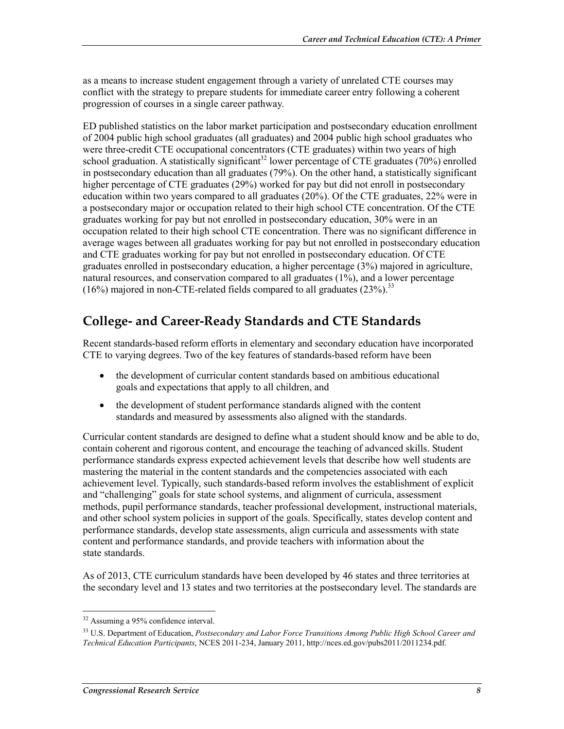as a means to increase student engagement through a variety of unrelated CTE courses may conflict with the strategy to prepare students for immediate career entry following a coherent progression of courses in a single career pathway.

ED published statistics on the labor market participation and postsecondary education enrollment of 2004 public high school graduates (all graduates) and 2004 public high school graduates who were three-credit CTE occupational concentrators (CTE graduates) within two years of high school graduation. A statistically significant<sup>32</sup> lower percentage of CTE graduates (70%) enrolled in postsecondary education than all graduates (79%). On the other hand, a statistically significant higher percentage of CTE graduates (29%) worked for pay but did not enroll in postsecondary education within two years compared to all graduates (20%). Of the CTE graduates, 22% were in a postsecondary major or occupation related to their high school CTE concentration. Of the CTE graduates working for pay but not enrolled in postsecondary education, 30% were in an occupation related to their high school CTE concentration. There was no significant difference in average wages between all graduates working for pay but not enrolled in postsecondary education and CTE graduates working for pay but not enrolled in postsecondary education. Of CTE graduates enrolled in postsecondary education, a higher percentage (3%) majored in agriculture, natural resources, and conservation compared to all graduates (1%), and a lower percentage  $(16\%)$  majored in non-CTE-related fields compared to all graduates  $(23\%)$ <sup>33</sup>

#### **College- and Career-Ready Standards and CTE Standards**

Recent standards-based reform efforts in elementary and secondary education have incorporated CTE to varying degrees. Two of the key features of standards-based reform have been

- the development of curricular content standards based on ambitious educational goals and expectations that apply to all children, and
- the development of student performance standards aligned with the content standards and measured by assessments also aligned with the standards.

Curricular content standards are designed to define what a student should know and be able to do, contain coherent and rigorous content, and encourage the teaching of advanced skills. Student performance standards express expected achievement levels that describe how well students are mastering the material in the content standards and the competencies associated with each achievement level. Typically, such standards-based reform involves the establishment of explicit and "challenging" goals for state school systems, and alignment of curricula, assessment methods, pupil performance standards, teacher professional development, instructional materials, and other school system policies in support of the goals. Specifically, states develop content and performance standards, develop state assessments, align curricula and assessments with state content and performance standards, and provide teachers with information about the state standards.

As of 2013, CTE curriculum standards have been developed by 46 states and three territories at the secondary level and 13 states and two territories at the postsecondary level. The standards are

<sup>&</sup>lt;sup>32</sup> Assuming a 95% confidence interval.

<sup>33</sup> U.S. Department of Education, *Postsecondary and Labor Force Transitions Among Public High School Career and Technical Education Participants*, NCES 2011-234, January 2011, http://nces.ed.gov/pubs2011/2011234.pdf.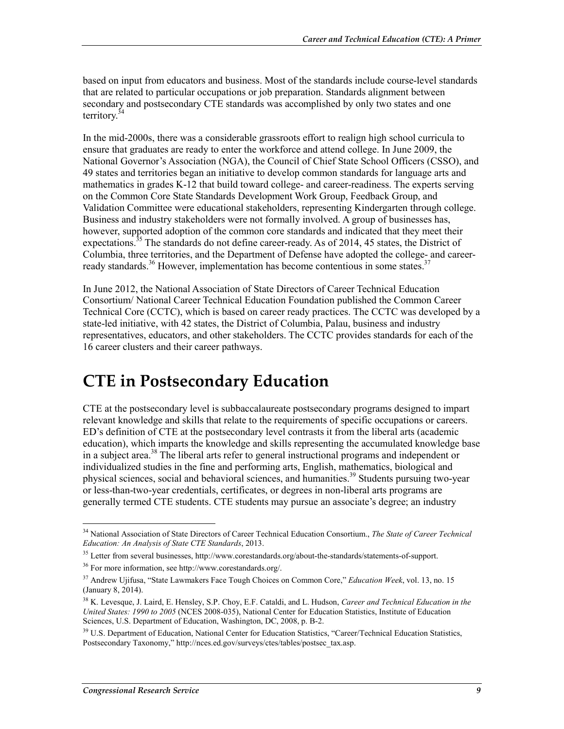based on input from educators and business. Most of the standards include course-level standards that are related to particular occupations or job preparation. Standards alignment between secondary and postsecondary CTE standards was accomplished by only two states and one territory. $34$ 

In the mid-2000s, there was a considerable grassroots effort to realign high school curricula to ensure that graduates are ready to enter the workforce and attend college. In June 2009, the National Governor's Association (NGA), the Council of Chief State School Officers (CSSO), and 49 states and territories began an initiative to develop common standards for language arts and mathematics in grades K-12 that build toward college- and career-readiness. The experts serving on the Common Core State Standards Development Work Group, Feedback Group, and Validation Committee were educational stakeholders, representing Kindergarten through college. Business and industry stakeholders were not formally involved. A group of businesses has, however, supported adoption of the common core standards and indicated that they meet their expectations.<sup>35</sup> The standards do not define career-ready. As of 2014, 45 states, the District of Columbia, three territories, and the Department of Defense have adopted the college- and careerready standards.<sup>36</sup> However, implementation has become contentious in some states.<sup>37</sup>

In June 2012, the National Association of State Directors of Career Technical Education Consortium/ National Career Technical Education Foundation published the Common Career Technical Core (CCTC), which is based on career ready practices. The CCTC was developed by a state-led initiative, with 42 states, the District of Columbia, Palau, business and industry representatives, educators, and other stakeholders. The CCTC provides standards for each of the 16 career clusters and their career pathways.

### **CTE in Postsecondary Education**

CTE at the postsecondary level is subbaccalaureate postsecondary programs designed to impart relevant knowledge and skills that relate to the requirements of specific occupations or careers. ED's definition of CTE at the postsecondary level contrasts it from the liberal arts (academic education), which imparts the knowledge and skills representing the accumulated knowledge base in a subject area.38 The liberal arts refer to general instructional programs and independent or individualized studies in the fine and performing arts, English, mathematics, biological and physical sciences, social and behavioral sciences, and humanities.<sup>39</sup> Students pursuing two-year or less-than-two-year credentials, certificates, or degrees in non-liberal arts programs are generally termed CTE students. CTE students may pursue an associate's degree; an industry

<u>.</u>

<sup>34</sup> National Association of State Directors of Career Technical Education Consortium., *The State of Career Technical Education: An Analysis of State CTE Standards*, 2013.

<sup>&</sup>lt;sup>35</sup> Letter from several businesses, http://www.corestandards.org/about-the-standards/statements-of-support.

<sup>36</sup> For more information, see http://www.corestandards.org/.

<sup>37</sup> Andrew Ujifusa, "State Lawmakers Face Tough Choices on Common Core," *Education Week*, vol. 13, no. 15 (January 8, 2014).

<sup>38</sup> K. Levesque, J. Laird, E. Hensley, S.P. Choy, E.F. Cataldi, and L. Hudson, *Career and Technical Education in the United States: 1990 to 2005* (NCES 2008-035), National Center for Education Statistics, Institute of Education Sciences, U.S. Department of Education, Washington, DC, 2008, p. B-2.

<sup>&</sup>lt;sup>39</sup> U.S. Department of Education, National Center for Education Statistics, "Career/Technical Education Statistics, Postsecondary Taxonomy," http://nces.ed.gov/surveys/ctes/tables/postsec\_tax.asp.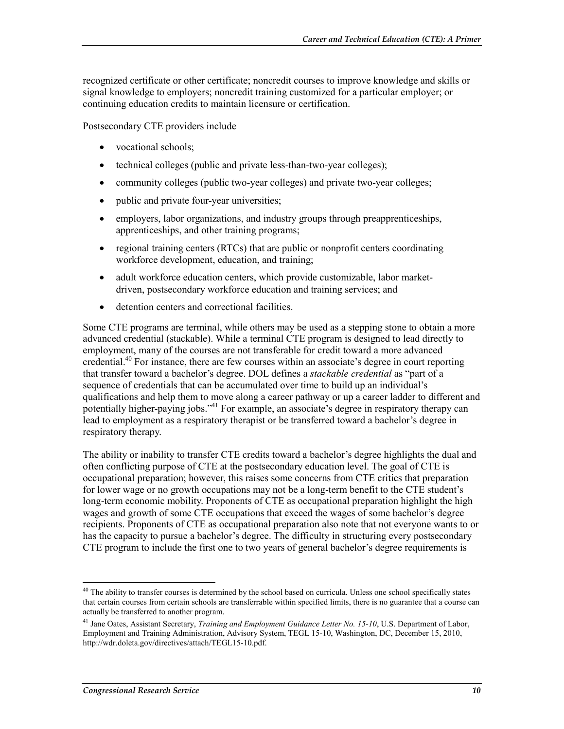recognized certificate or other certificate; noncredit courses to improve knowledge and skills or signal knowledge to employers; noncredit training customized for a particular employer; or continuing education credits to maintain licensure or certification.

Postsecondary CTE providers include

- vocational schools;
- technical colleges (public and private less-than-two-year colleges);
- community colleges (public two-year colleges) and private two-year colleges;
- public and private four-year universities;
- employers, labor organizations, and industry groups through preapprenticeships, apprenticeships, and other training programs;
- regional training centers (RTCs) that are public or nonprofit centers coordinating workforce development, education, and training;
- adult workforce education centers, which provide customizable, labor marketdriven, postsecondary workforce education and training services; and
- detention centers and correctional facilities.

Some CTE programs are terminal, while others may be used as a stepping stone to obtain a more advanced credential (stackable). While a terminal CTE program is designed to lead directly to employment, many of the courses are not transferable for credit toward a more advanced credential.40 For instance, there are few courses within an associate's degree in court reporting that transfer toward a bachelor's degree. DOL defines a *stackable credential* as "part of a sequence of credentials that can be accumulated over time to build up an individual's qualifications and help them to move along a career pathway or up a career ladder to different and potentially higher-paying jobs."41 For example, an associate's degree in respiratory therapy can lead to employment as a respiratory therapist or be transferred toward a bachelor's degree in respiratory therapy.

The ability or inability to transfer CTE credits toward a bachelor's degree highlights the dual and often conflicting purpose of CTE at the postsecondary education level. The goal of CTE is occupational preparation; however, this raises some concerns from CTE critics that preparation for lower wage or no growth occupations may not be a long-term benefit to the CTE student's long-term economic mobility. Proponents of CTE as occupational preparation highlight the high wages and growth of some CTE occupations that exceed the wages of some bachelor's degree recipients. Proponents of CTE as occupational preparation also note that not everyone wants to or has the capacity to pursue a bachelor's degree. The difficulty in structuring every postsecondary CTE program to include the first one to two years of general bachelor's degree requirements is

 $40$  The ability to transfer courses is determined by the school based on curricula. Unless one school specifically states that certain courses from certain schools are transferrable within specified limits, there is no guarantee that a course can actually be transferred to another program.

<sup>41</sup> Jane Oates, Assistant Secretary, *Training and Employment Guidance Letter No. 15-10*, U.S. Department of Labor, Employment and Training Administration, Advisory System, TEGL 15-10, Washington, DC, December 15, 2010, http://wdr.doleta.gov/directives/attach/TEGL15-10.pdf.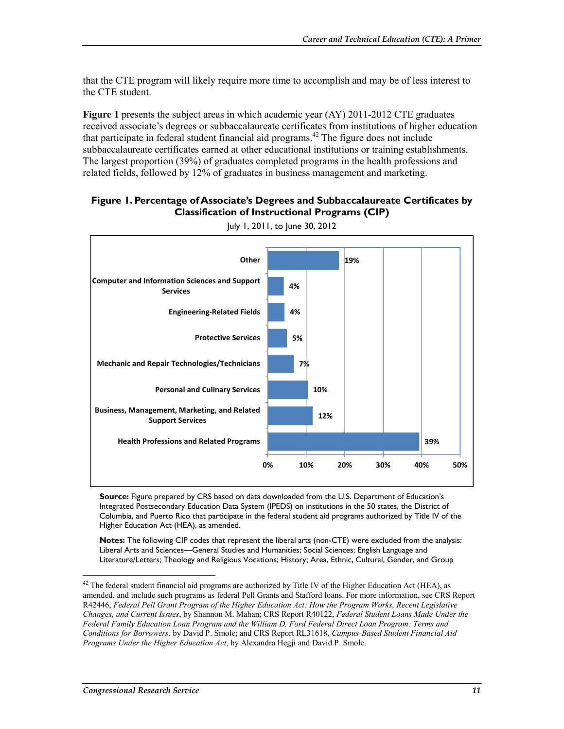that the CTE program will likely require more time to accomplish and may be of less interest to the CTE student.

**Figure 1** presents the subject areas in which academic year (AY) 2011-2012 CTE graduates received associate's degrees or subbaccalaureate certificates from institutions of higher education that participate in federal student financial aid programs.<sup>42</sup> The figure does not include subbaccalaureate certificates earned at other educational institutions or training establishments. The largest proportion (39%) of graduates completed programs in the health professions and related fields, followed by 12% of graduates in business management and marketing.

#### **Figure 1. Percentage of Associate's Degrees and Subbaccalaureate Certificates by Classification of Instructional Programs (CIP)**



July 1, 2011, to June 30, 2012

**Source:** Figure prepared by CRS based on data downloaded from the U.S. Department of Education's Integrated Postsecondary Education Data System (IPEDS) on institutions in the 50 states, the District of Columbia, and Puerto Rico that participate in the federal student aid programs authorized by Title IV of the Higher Education Act (HEA), as amended.

**Notes:** The following CIP codes that represent the liberal arts (non-CTE) were excluded from the analysis: Liberal Arts and Sciences—General Studies and Humanities; Social Sciences; English Language and Literature/Letters; Theology and Religious Vocations; History; Area, Ethnic, Cultural, Gender, and Group

 $^{42}$  The federal student financial aid programs are authorized by Title IV of the Higher Education Act (HEA), as amended, and include such programs as federal Pell Grants and Stafford loans. For more information, see CRS Report R42446, *Federal Pell Grant Program of the Higher Education Act: How the Program Works, Recent Legislative Changes, and Current Issues*, by Shannon M. Mahan; CRS Report R40122, *Federal Student Loans Made Under the Federal Family Education Loan Program and the William D. Ford Federal Direct Loan Program: Terms and Conditions for Borrowers*, by David P. Smole; and CRS Report RL31618, *Campus-Based Student Financial Aid Programs Under the Higher Education Act*, by Alexandra Hegji and David P. Smole.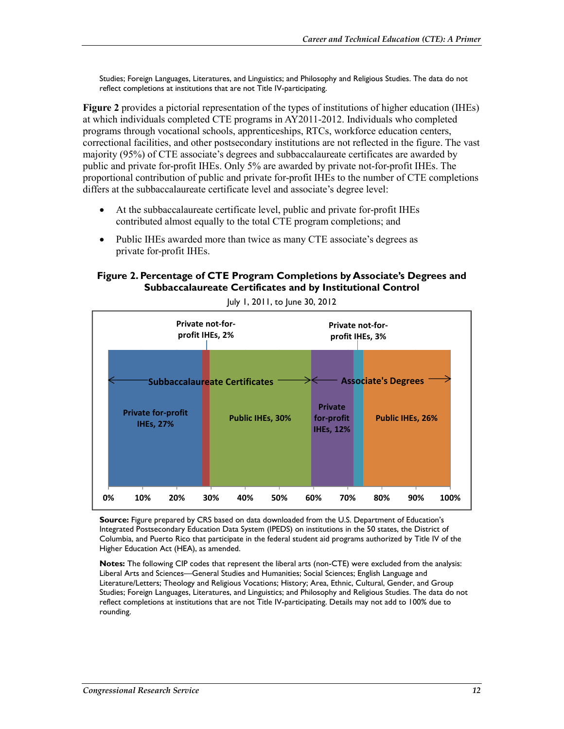Studies; Foreign Languages, Literatures, and Linguistics; and Philosophy and Religious Studies. The data do not reflect completions at institutions that are not Title IV-participating.

**Figure 2** provides a pictorial representation of the types of institutions of higher education (IHEs) at which individuals completed CTE programs in AY2011-2012. Individuals who completed programs through vocational schools, apprenticeships, RTCs, workforce education centers, correctional facilities, and other postsecondary institutions are not reflected in the figure. The vast majority (95%) of CTE associate's degrees and subbaccalaureate certificates are awarded by public and private for-profit IHEs. Only 5% are awarded by private not-for-profit IHEs. The proportional contribution of public and private for-profit IHEs to the number of CTE completions differs at the subbaccalaureate certificate level and associate's degree level:

- At the subbaccalaureate certificate level, public and private for-profit IHEs contributed almost equally to the total CTE program completions; and
- Public IHEs awarded more than twice as many CTE associate's degrees as private for-profit IHEs.

#### **Figure 2. Percentage of CTE Program Completions by Associate's Degrees and Subbaccalaureate Certificates and by Institutional Control**



July 1, 2011, to June 30, 2012

**Source:** Figure prepared by CRS based on data downloaded from the U.S. Department of Education's Integrated Postsecondary Education Data System (IPEDS) on institutions in the 50 states, the District of Columbia, and Puerto Rico that participate in the federal student aid programs authorized by Title IV of the Higher Education Act (HEA), as amended.

**Notes:** The following CIP codes that represent the liberal arts (non-CTE) were excluded from the analysis: Liberal Arts and Sciences—General Studies and Humanities; Social Sciences; English Language and Literature/Letters; Theology and Religious Vocations; History; Area, Ethnic, Cultural, Gender, and Group Studies; Foreign Languages, Literatures, and Linguistics; and Philosophy and Religious Studies. The data do not reflect completions at institutions that are not Title IV-participating. Details may not add to 100% due to rounding.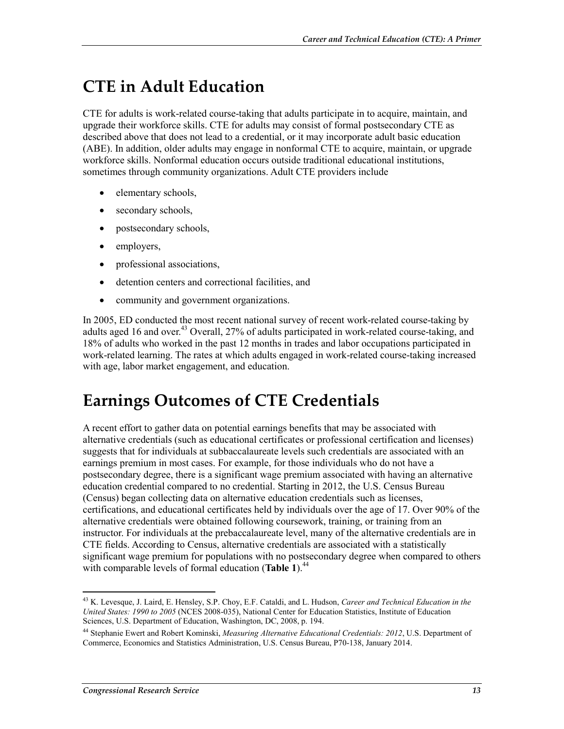## **CTE in Adult Education**

CTE for adults is work-related course-taking that adults participate in to acquire, maintain, and upgrade their workforce skills. CTE for adults may consist of formal postsecondary CTE as described above that does not lead to a credential, or it may incorporate adult basic education (ABE). In addition, older adults may engage in nonformal CTE to acquire, maintain, or upgrade workforce skills. Nonformal education occurs outside traditional educational institutions, sometimes through community organizations. Adult CTE providers include

- elementary schools,
- secondary schools,
- postsecondary schools,
- employers,
- professional associations,
- detention centers and correctional facilities, and
- community and government organizations.

In 2005, ED conducted the most recent national survey of recent work-related course-taking by adults aged 16 and over.<sup>43</sup> Overall, 27% of adults participated in work-related course-taking, and 18% of adults who worked in the past 12 months in trades and labor occupations participated in work-related learning. The rates at which adults engaged in work-related course-taking increased with age, labor market engagement, and education.

## **Earnings Outcomes of CTE Credentials**

A recent effort to gather data on potential earnings benefits that may be associated with alternative credentials (such as educational certificates or professional certification and licenses) suggests that for individuals at subbaccalaureate levels such credentials are associated with an earnings premium in most cases. For example, for those individuals who do not have a postsecondary degree, there is a significant wage premium associated with having an alternative education credential compared to no credential. Starting in 2012, the U.S. Census Bureau (Census) began collecting data on alternative education credentials such as licenses, certifications, and educational certificates held by individuals over the age of 17. Over 90% of the alternative credentials were obtained following coursework, training, or training from an instructor. For individuals at the prebaccalaureate level, many of the alternative credentials are in CTE fields. According to Census, alternative credentials are associated with a statistically significant wage premium for populations with no postsecondary degree when compared to others with comparable levels of formal education (**Table 1**).<sup>44</sup>

<sup>1</sup> 43 K. Levesque, J. Laird, E. Hensley, S.P. Choy, E.F. Cataldi, and L. Hudson, *Career and Technical Education in the United States: 1990 to 2005* (NCES 2008-035), National Center for Education Statistics, Institute of Education Sciences, U.S. Department of Education, Washington, DC, 2008, p. 194.

<sup>44</sup> Stephanie Ewert and Robert Kominski, *Measuring Alternative Educational Credentials: 2012*, U.S. Department of Commerce, Economics and Statistics Administration, U.S. Census Bureau, P70-138, January 2014.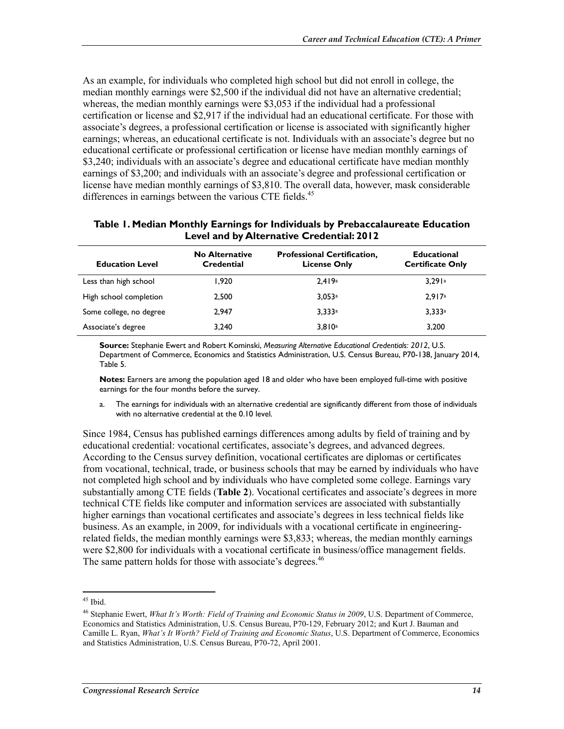As an example, for individuals who completed high school but did not enroll in college, the median monthly earnings were \$2,500 if the individual did not have an alternative credential; whereas, the median monthly earnings were \$3,053 if the individual had a professional certification or license and \$2,917 if the individual had an educational certificate. For those with associate's degrees, a professional certification or license is associated with significantly higher earnings; whereas, an educational certificate is not. Individuals with an associate's degree but no educational certificate or professional certification or license have median monthly earnings of \$3,240; individuals with an associate's degree and educational certificate have median monthly earnings of \$3,200; and individuals with an associate's degree and professional certification or license have median monthly earnings of \$3,810. The overall data, however, mask considerable differences in earnings between the various CTE fields.<sup>45</sup>

#### **Table 1. Median Monthly Earnings for Individuals by Prebaccalaureate Education Level and by Alternative Credential: 2012**

| <b>Education Level</b>  | <b>No Alternative</b><br>Credential | <b>Professional Certification,</b><br><b>License Only</b> | <b>Educational</b><br><b>Certificate Only</b> |
|-------------------------|-------------------------------------|-----------------------------------------------------------|-----------------------------------------------|
| Less than high school   | 1.920                               | 2.419a                                                    | 3.291a                                        |
| High school completion  | 2.500                               | 3.053a                                                    | 2.917a                                        |
| Some college, no degree | 2.947                               | 3.333a                                                    | 3.333a                                        |
| Associate's degree      | 3.240                               | 3.810a                                                    | 3.200                                         |

**Source:** Stephanie Ewert and Robert Kominski, *Measuring Alternative Educational Credentials: 2012*, U.S. Department of Commerce, Economics and Statistics Administration, U.S. Census Bureau, P70-138, January 2014, Table 5.

**Notes:** Earners are among the population aged 18 and older who have been employed full-time with positive earnings for the four months before the survey.

a. The earnings for individuals with an alternative credential are significantly different from those of individuals with no alternative credential at the 0.10 level.

Since 1984, Census has published earnings differences among adults by field of training and by educational credential: vocational certificates, associate's degrees, and advanced degrees. According to the Census survey definition, vocational certificates are diplomas or certificates from vocational, technical, trade, or business schools that may be earned by individuals who have not completed high school and by individuals who have completed some college. Earnings vary substantially among CTE fields (**Table 2**). Vocational certificates and associate's degrees in more technical CTE fields like computer and information services are associated with substantially higher earnings than vocational certificates and associate's degrees in less technical fields like business. As an example, in 2009, for individuals with a vocational certificate in engineeringrelated fields, the median monthly earnings were \$3,833; whereas, the median monthly earnings were \$2,800 for individuals with a vocational certificate in business/office management fields. The same pattern holds for those with associate's degrees.<sup>46</sup>

 $45$  Ibid.

<sup>46</sup> Stephanie Ewert, *What It's Worth: Field of Training and Economic Status in 2009*, U.S. Department of Commerce, Economics and Statistics Administration, U.S. Census Bureau, P70-129, February 2012; and Kurt J. Bauman and Camille L. Ryan, *What's It Worth? Field of Training and Economic Status*, U.S. Department of Commerce, Economics and Statistics Administration, U.S. Census Bureau, P70-72, April 2001.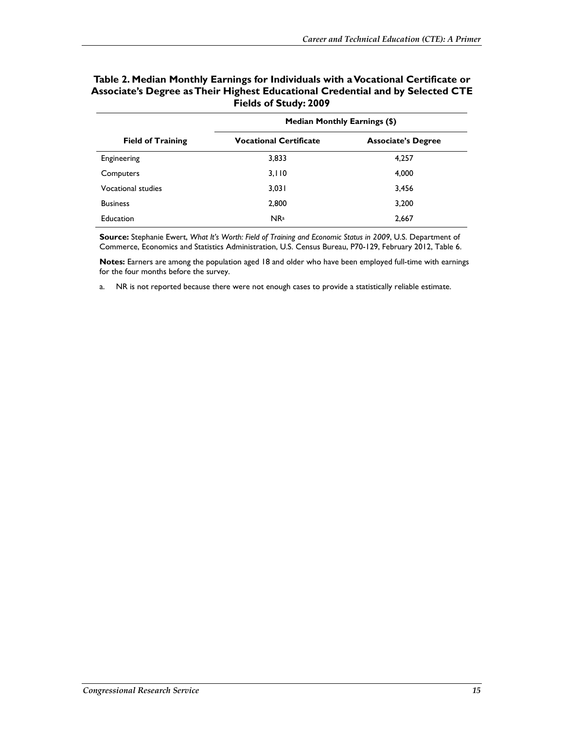|                           | <b>Median Monthly Earnings (\$)</b> |                           |  |
|---------------------------|-------------------------------------|---------------------------|--|
| <b>Field of Training</b>  | <b>Vocational Certificate</b>       | <b>Associate's Degree</b> |  |
| Engineering               | 3,833                               | 4,257                     |  |
| Computers                 | 3,110                               | 4,000                     |  |
| <b>Vocational studies</b> | 3,031                               | 3,456                     |  |
| <b>Business</b>           | 2,800                               | 3,200                     |  |
| <b>Education</b>          | NR <sup>a</sup>                     | 2,667                     |  |

#### **Table 2. Median Monthly Earnings for Individuals with a Vocational Certificate or Associate's Degree as Their Highest Educational Credential and by Selected CTE Fields of Study: 2009**

**Source:** Stephanie Ewert, *What It's Worth: Field of Training and Economic Status in 2009*, U.S. Department of Commerce, Economics and Statistics Administration, U.S. Census Bureau, P70-129, February 2012, Table 6.

**Notes:** Earners are among the population aged 18 and older who have been employed full-time with earnings for the four months before the survey.

a. NR is not reported because there were not enough cases to provide a statistically reliable estimate.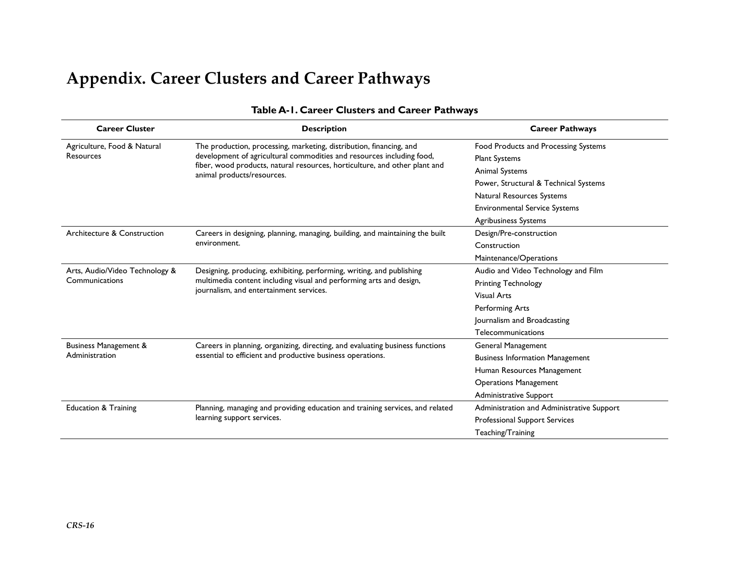## **Appendix. Career Clusters and Career Pathways**

| <b>Career Cluster</b><br><b>Description</b> |                                                                                                                                                                                         | <b>Career Pathways</b>                    |
|---------------------------------------------|-----------------------------------------------------------------------------------------------------------------------------------------------------------------------------------------|-------------------------------------------|
| Agriculture, Food & Natural                 | The production, processing, marketing, distribution, financing, and                                                                                                                     | Food Products and Processing Systems      |
| Resources                                   | development of agricultural commodities and resources including food,<br>fiber, wood products, natural resources, horticulture, and other plant and<br>animal products/resources.       | <b>Plant Systems</b>                      |
|                                             |                                                                                                                                                                                         | Animal Systems                            |
|                                             |                                                                                                                                                                                         | Power, Structural & Technical Systems     |
|                                             |                                                                                                                                                                                         | Natural Resources Systems                 |
|                                             |                                                                                                                                                                                         | <b>Environmental Service Systems</b>      |
|                                             |                                                                                                                                                                                         | <b>Agribusiness Systems</b>               |
| Architecture & Construction                 | Careers in designing, planning, managing, building, and maintaining the built<br>environment.                                                                                           | Design/Pre-construction                   |
|                                             |                                                                                                                                                                                         | Construction                              |
|                                             |                                                                                                                                                                                         | Maintenance/Operations                    |
| Arts, Audio/Video Technology &              | Designing, producing, exhibiting, performing, writing, and publishing<br>multimedia content including visual and performing arts and design,<br>journalism, and entertainment services. | Audio and Video Technology and Film       |
| Communications                              |                                                                                                                                                                                         | <b>Printing Technology</b>                |
|                                             |                                                                                                                                                                                         | <b>Visual Arts</b>                        |
|                                             |                                                                                                                                                                                         | Performing Arts                           |
|                                             |                                                                                                                                                                                         | Journalism and Broadcasting               |
|                                             |                                                                                                                                                                                         | Telecommunications                        |
| <b>Business Management &amp;</b>            | Careers in planning, organizing, directing, and evaluating business functions<br>essential to efficient and productive business operations.                                             | General Management                        |
| Administration                              |                                                                                                                                                                                         | <b>Business Information Management</b>    |
|                                             |                                                                                                                                                                                         | Human Resources Management                |
|                                             |                                                                                                                                                                                         | <b>Operations Management</b>              |
|                                             |                                                                                                                                                                                         | Administrative Support                    |
| <b>Education &amp; Training</b>             | Planning, managing and providing education and training services, and related<br>learning support services.                                                                             | Administration and Administrative Support |
|                                             |                                                                                                                                                                                         | <b>Professional Support Services</b>      |
|                                             |                                                                                                                                                                                         | Teaching/Training                         |

#### **Table A-1. Career Clusters and Career Pathways**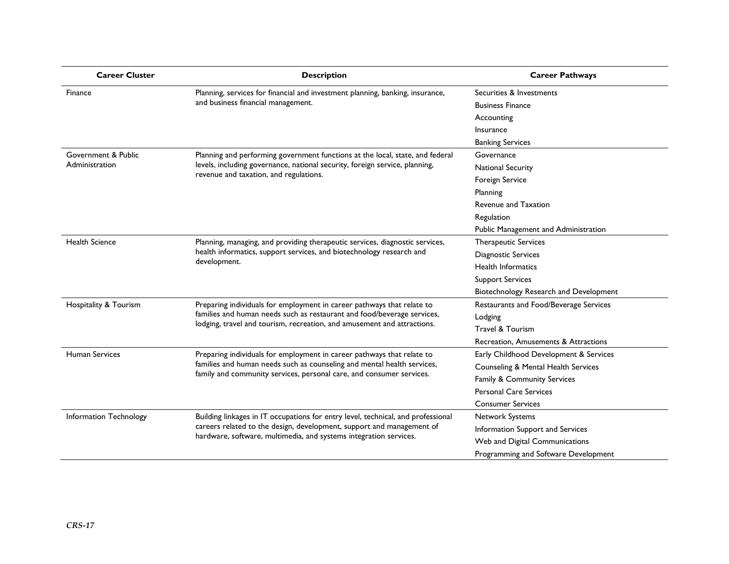| <b>Career Cluster</b>  | <b>Description</b>                                                                                                                                                                                                             | <b>Career Pathways</b>                 |
|------------------------|--------------------------------------------------------------------------------------------------------------------------------------------------------------------------------------------------------------------------------|----------------------------------------|
| Finance                | Planning, services for financial and investment planning, banking, insurance,                                                                                                                                                  | Securities & Investments               |
|                        | and business financial management.                                                                                                                                                                                             | <b>Business Finance</b>                |
|                        |                                                                                                                                                                                                                                | Accounting                             |
|                        |                                                                                                                                                                                                                                | Insurance                              |
|                        |                                                                                                                                                                                                                                | <b>Banking Services</b>                |
| Government & Public    | Planning and performing government functions at the local, state, and federal                                                                                                                                                  | Governance                             |
| Administration         | levels, including governance, national security, foreign service, planning,                                                                                                                                                    | <b>National Security</b>               |
|                        | revenue and taxation, and regulations.                                                                                                                                                                                         | Foreign Service                        |
|                        |                                                                                                                                                                                                                                | Planning                               |
|                        |                                                                                                                                                                                                                                | <b>Revenue and Taxation</b>            |
|                        |                                                                                                                                                                                                                                | Regulation                             |
|                        |                                                                                                                                                                                                                                | Public Management and Administration   |
| <b>Health Science</b>  | Planning, managing, and providing therapeutic services, diagnostic services,<br>health informatics, support services, and biotechnology research and<br>development.                                                           | Therapeutic Services                   |
|                        |                                                                                                                                                                                                                                | Diagnostic Services                    |
|                        |                                                                                                                                                                                                                                | <b>Health Informatics</b>              |
|                        |                                                                                                                                                                                                                                | <b>Support Services</b>                |
|                        |                                                                                                                                                                                                                                | Biotechnology Research and Development |
| Hospitality & Tourism  | Preparing individuals for employment in career pathways that relate to<br>families and human needs such as restaurant and food/beverage services,<br>lodging, travel and tourism, recreation, and amusement and attractions.   | Restaurants and Food/Beverage Services |
|                        |                                                                                                                                                                                                                                | Lodging                                |
|                        |                                                                                                                                                                                                                                | Travel & Tourism                       |
|                        |                                                                                                                                                                                                                                | Recreation, Amusements & Attractions   |
| <b>Human Services</b>  | Preparing individuals for employment in career pathways that relate to<br>families and human needs such as counseling and mental health services,<br>family and community services, personal care, and consumer services.      | Early Childhood Development & Services |
|                        |                                                                                                                                                                                                                                | Counseling & Mental Health Services    |
|                        |                                                                                                                                                                                                                                | Family & Community Services            |
|                        |                                                                                                                                                                                                                                | <b>Personal Care Services</b>          |
|                        |                                                                                                                                                                                                                                | <b>Consumer Services</b>               |
| Information Technology | Building linkages in IT occupations for entry level, technical, and professional<br>careers related to the design, development, support and management of<br>hardware, software, multimedia, and systems integration services. | Network Systems                        |
|                        |                                                                                                                                                                                                                                | Information Support and Services       |
|                        |                                                                                                                                                                                                                                | Web and Digital Communications         |
|                        |                                                                                                                                                                                                                                | Programming and Software Development   |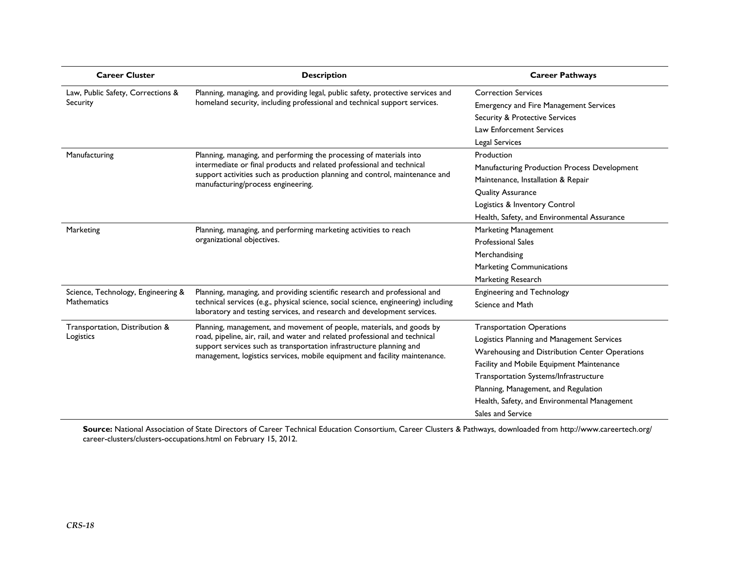| <b>Career Cluster</b>                                    | <b>Description</b>                                                                                                                                                                                                                          | <b>Career Pathways</b>                         |
|----------------------------------------------------------|---------------------------------------------------------------------------------------------------------------------------------------------------------------------------------------------------------------------------------------------|------------------------------------------------|
| Law, Public Safety, Corrections &<br>Security            | Planning, managing, and providing legal, public safety, protective services and<br>homeland security, including professional and technical support services.                                                                                | <b>Correction Services</b>                     |
|                                                          |                                                                                                                                                                                                                                             | <b>Emergency and Fire Management Services</b>  |
|                                                          |                                                                                                                                                                                                                                             | <b>Security &amp; Protective Services</b>      |
|                                                          |                                                                                                                                                                                                                                             | Law Enforcement Services                       |
|                                                          |                                                                                                                                                                                                                                             | Legal Services                                 |
| Manufacturing                                            | Planning, managing, and performing the processing of materials into                                                                                                                                                                         | Production                                     |
|                                                          | intermediate or final products and related professional and technical                                                                                                                                                                       | Manufacturing Production Process Development   |
|                                                          | support activities such as production planning and control, maintenance and<br>manufacturing/process engineering.                                                                                                                           | Maintenance, Installation & Repair             |
|                                                          |                                                                                                                                                                                                                                             | <b>Quality Assurance</b>                       |
|                                                          |                                                                                                                                                                                                                                             | Logistics & Inventory Control                  |
|                                                          |                                                                                                                                                                                                                                             | Health, Safety, and Environmental Assurance    |
| Marketing                                                | Planning, managing, and performing marketing activities to reach                                                                                                                                                                            | Marketing Management                           |
|                                                          | organizational objectives.                                                                                                                                                                                                                  | <b>Professional Sales</b>                      |
|                                                          |                                                                                                                                                                                                                                             | Merchandising                                  |
|                                                          |                                                                                                                                                                                                                                             | <b>Marketing Communications</b>                |
|                                                          |                                                                                                                                                                                                                                             | Marketing Research                             |
| Science, Technology, Engineering &<br><b>Mathematics</b> | Planning, managing, and providing scientific research and professional and<br>technical services (e.g., physical science, social science, engineering) including<br>laboratory and testing services, and research and development services. | <b>Engineering and Technology</b>              |
|                                                          |                                                                                                                                                                                                                                             | Science and Math                               |
| Transportation, Distribution &                           | Planning, management, and movement of people, materials, and goods by                                                                                                                                                                       | <b>Transportation Operations</b>               |
| Logistics                                                | road, pipeline, air, rail, and water and related professional and technical                                                                                                                                                                 | Logistics Planning and Management Services     |
|                                                          | support services such as transportation infrastructure planning and<br>management, logistics services, mobile equipment and facility maintenance.                                                                                           | Warehousing and Distribution Center Operations |
|                                                          |                                                                                                                                                                                                                                             | Facility and Mobile Equipment Maintenance      |
|                                                          |                                                                                                                                                                                                                                             | Transportation Systems/Infrastructure          |
|                                                          |                                                                                                                                                                                                                                             | Planning, Management, and Regulation           |
|                                                          |                                                                                                                                                                                                                                             | Health, Safety, and Environmental Management   |
|                                                          |                                                                                                                                                                                                                                             | Sales and Service                              |

**Source:** National Association of State Directors of Career Technical Education Consortium, Career Clusters & Pathways, downloaded from http://www.careertech.org/ career-clusters/clusters-occupations.html on February 15, 2012.